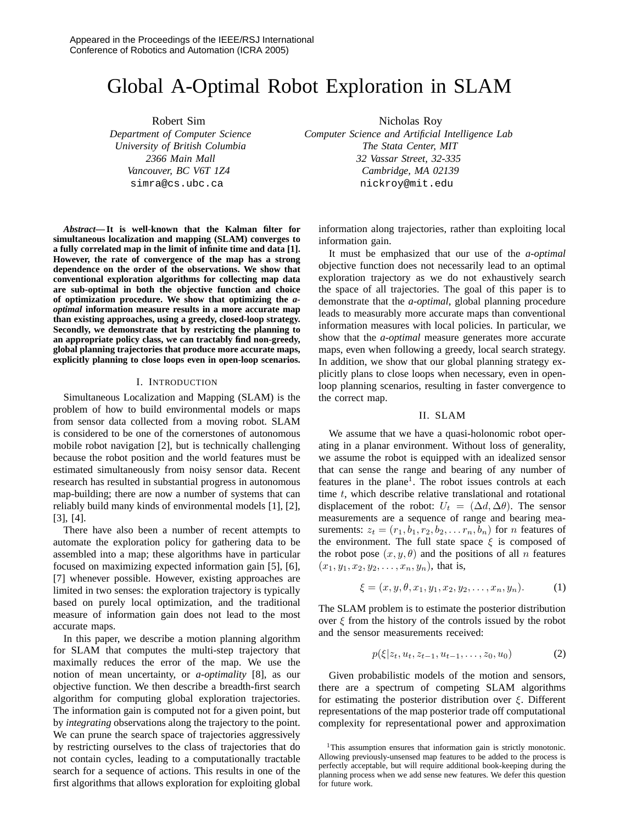# Global A-Optimal Robot Exploration in SLAM

Robert Sim *Department of Computer Science University of British Columbia 2366 Main Mall Vancouver, BC V6T 1Z4* simra@cs.ubc.ca

*Abstract***—It is well-known that the Kalman filter for simultaneous localization and mapping (SLAM) converges to a fully correlated map in the limit of infinite time and data [1]. However, the rate of convergence of the map has a strong dependence on the order of the observations. We show that conventional exploration algorithms for collecting map data are sub-optimal in both the objective function and choice of optimization procedure. We show that optimizing the** *aoptimal* **information measure results in a more accurate map than existing approaches, using a greedy, closed-loop strategy. Secondly, we demonstrate that by restricting the planning to an appropriate policy class, we can tractably find non-greedy, global planning trajectories that produce more accurate maps, explicitly planning to close loops even in open-loop scenarios.**

## I. INTRODUCTION

Simultaneous Localization and Mapping (SLAM) is the problem of how to build environmental models or maps from sensor data collected from a moving robot. SLAM is considered to be one of the cornerstones of autonomous mobile robot navigation [2], but is technically challenging because the robot position and the world features must be estimated simultaneously from noisy sensor data. Recent research has resulted in substantial progress in autonomous map-building; there are now a number of systems that can reliably build many kinds of environmental models [1], [2], [3], [4].

There have also been a number of recent attempts to automate the exploration policy for gathering data to be assembled into a map; these algorithms have in particular focused on maximizing expected information gain [5], [6], [7] whenever possible. However, existing approaches are limited in two senses: the exploration trajectory is typically based on purely local optimization, and the traditional measure of information gain does not lead to the most accurate maps.

In this paper, we describe a motion planning algorithm for SLAM that computes the multi-step trajectory that maximally reduces the error of the map. We use the notion of mean uncertainty, or *a-optimality* [8], as our objective function. We then describe a breadth-first search algorithm for computing global exploration trajectories. The information gain is computed not for a given point, but by *integrating* observations along the trajectory to the point. We can prune the search space of trajectories aggressively by restricting ourselves to the class of trajectories that do not contain cycles, leading to a computationally tractable search for a sequence of actions. This results in one of the first algorithms that allows exploration for exploiting global

Nicholas Roy *Computer Science and Artificial Intelligence Lab The Stata Center, MIT 32 Vassar Street, 32-335 Cambridge, MA 02139* nickroy@mit.edu

information along trajectories, rather than exploiting local information gain.

It must be emphasized that our use of the *a-optimal* objective function does not necessarily lead to an optimal exploration trajectory as we do not exhaustively search the space of all trajectories. The goal of this paper is to demonstrate that the *a-optimal*, global planning procedure leads to measurably more accurate maps than conventional information measures with local policies. In particular, we show that the *a-optimal* measure generates more accurate maps, even when following a greedy, local search strategy. In addition, we show that our global planning strategy explicitly plans to close loops when necessary, even in openloop planning scenarios, resulting in faster convergence to the correct map.

# II. SLAM

We assume that we have a quasi-holonomic robot operating in a planar environment. Without loss of generality, we assume the robot is equipped with an idealized sensor that can sense the range and bearing of any number of features in the plane<sup>1</sup>. The robot issues controls at each time  $t$ , which describe relative translational and rotational displacement of the robot:  $U_t = (\Delta d, \Delta \theta)$ . The sensor measurements are a sequence of range and bearing measurements:  $z_t = (r_1, b_1, r_2, b_2, \dots r_n, b_n)$  for *n* features of the environment. The full state space  $\xi$  is composed of the robot pose  $(x, y, \theta)$  and the positions of all n features  $(x_1, y_1, x_2, y_2, \ldots, x_n, y_n)$ , that is,

$$
\xi = (x, y, \theta, x_1, y_1, x_2, y_2, \dots, x_n, y_n). \tag{1}
$$

The SLAM problem is to estimate the posterior distribution over  $\xi$  from the history of the controls issued by the robot and the sensor measurements received:

$$
p(\xi|z_t, u_t, z_{t-1}, u_{t-1}, \dots, z_0, u_0) \tag{2}
$$

Given probabilistic models of the motion and sensors, there are a spectrum of competing SLAM algorithms for estimating the posterior distribution over  $\xi$ . Different representations of the map posterior trade off computational complexity for representational power and approximation

<sup>&</sup>lt;sup>1</sup>This assumption ensures that information gain is strictly monotonic. Allowing previously-unsensed map features to be added to the process is perfectly acceptable, but will require additional book-keeping during the planning process when we add sense new features. We defer this question for future work.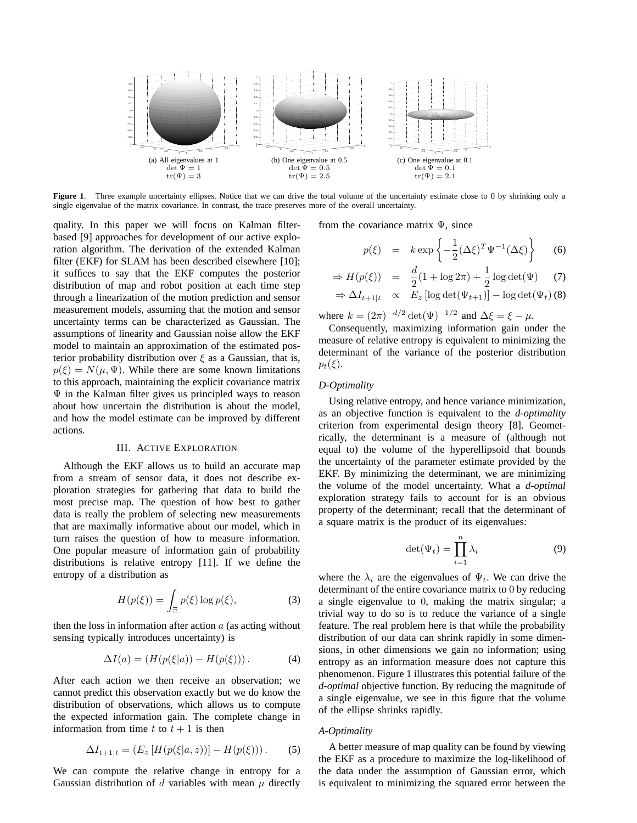

Figure 1. Three example uncertainty ellipses. Notice that we can drive the total volume of the uncertainty estimate close to 0 by shrinking only a single eigenvalue of the matrix covariance. In contrast, the trace preserves more of the overall uncertainty.

quality. In this paper we will focus on Kalman filterbased [9] approaches for development of our active exploration algorithm. The derivation of the extended Kalman filter (EKF) for SLAM has been described elsewhere [10]; it suffices to say that the EKF computes the posterior distribution of map and robot position at each time step through a linearization of the motion prediction and sensor measurement models, assuming that the motion and sensor uncertainty terms can be characterized as Gaussian. The assumptions of linearity and Gaussian noise allow the EKF model to maintain an approximation of the estimated posterior probability distribution over  $\xi$  as a Gaussian, that is,  $p(\xi) = N(\mu, \Psi)$ . While there are some known limitations to this approach, maintaining the explicit covariance matrix  $\Psi$  in the Kalman filter gives us principled ways to reason about how uncertain the distribution is about the model, and how the model estimate can be improved by different actions.

# III. ACTIVE EXPLORATION

Although the EKF allows us to build an accurate map from a stream of sensor data, it does not describe exploration strategies for gathering that data to build the most precise map. The question of how best to gather data is really the problem of selecting new measurements that are maximally informative about our model, which in turn raises the question of how to measure information. One popular measure of information gain of probability distributions is relative entropy [11]. If we define the entropy of a distribution as

$$
H(p(\xi)) = \int_{\Xi} p(\xi) \log p(\xi),\tag{3}
$$

then the loss in information after action  $\alpha$  (as acting without sensing typically introduces uncertainty) is

$$
\Delta I(a) = \left( H(p(\xi|a)) - H(p(\xi)) \right). \tag{4}
$$

After each action we then receive an observation; we cannot predict this observation exactly but we do know the distribution of observations, which allows us to compute the expected information gain. The complete change in information from time t to  $t + 1$  is then

$$
\Delta I_{t+1|t} = (E_z [H(p(\xi|a, z))] - H(p(\xi))).
$$
 (5)

We can compute the relative change in entropy for a Gaussian distribution of d variables with mean  $\mu$  directly from the covariance matrix  $\Psi$ , since

$$
p(\xi) = k \exp\left\{-\frac{1}{2}(\Delta \xi)^T \Psi^{-1}(\Delta \xi)\right\}
$$
 (6)

$$
\Rightarrow H(p(\xi)) = \frac{d}{2}(1 + \log 2\pi) + \frac{1}{2}\log \det(\Psi) \tag{7}
$$

$$
\Rightarrow \Delta I_{t+1|t} \quad \propto \quad E_z \left[ \log \det(\Psi_{t+1}) \right] - \log \det(\Psi_t) \tag{8}
$$

where  $k = (2\pi)^{-d/2} \det(\Psi)^{-1/2}$  and  $\Delta \xi = \xi - \mu$ .

Consequently, maximizing information gain under the measure of relative entropy is equivalent to minimizing the determinant of the variance of the posterior distribution  $p_t(\xi)$ .

# *D-Optimality*

Using relative entropy, and hence variance minimization, as an objective function is equivalent to the *d-optimality* criterion from experimental design theory [8]. Geometrically, the determinant is a measure of (although not equal to) the volume of the hyperellipsoid that bounds the uncertainty of the parameter estimate provided by the EKF. By minimizing the determinant, we are minimizing the volume of the model uncertainty. What a *d-optimal* exploration strategy fails to account for is an obvious property of the determinant; recall that the determinant of a square matrix is the product of its eigenvalues:

$$
\det(\Psi_t) = \prod_{i=1}^n \lambda_i \tag{9}
$$

where the  $\lambda_i$  are the eigenvalues of  $\Psi_t$ . We can drive the determinant of the entire covariance matrix to 0 by reducing a single eigenvalue to 0, making the matrix singular; a trivial way to do so is to reduce the variance of a single feature. The real problem here is that while the probability distribution of our data can shrink rapidly in some dimensions, in other dimensions we gain no information; using entropy as an information measure does not capture this phenomenon. Figure 1 illustrates this potential failure of the *d-optimal* objective function. By reducing the magnitude of a single eigenvalue, we see in this figure that the volume of the ellipse shrinks rapidly.

## *A-Optimality*

A better measure of map quality can be found by viewing the EKF as a procedure to maximize the log-likelihood of the data under the assumption of Gaussian error, which is equivalent to minimizing the squared error between the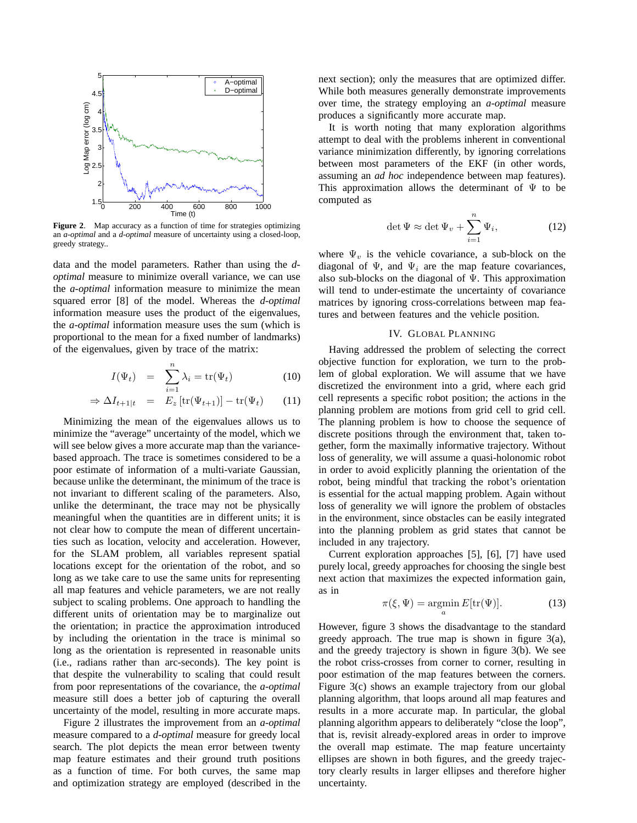

**Figure 2**. Map accuracy as a function of time for strategies optimizing an *a-optimal* and a *d-optimal* measure of uncertainty using a closed-loop, greedy strategy..

data and the model parameters. Rather than using the *doptimal* measure to minimize overall variance, we can use the *a-optimal* information measure to minimize the mean squared error [8] of the model. Whereas the *d-optimal* information measure uses the product of the eigenvalues, the *a-optimal* information measure uses the sum (which is proportional to the mean for a fixed number of landmarks) of the eigenvalues, given by trace of the matrix:

$$
I(\Psi_t) = \sum_{i=1}^n \lambda_i = \text{tr}(\Psi_t)
$$
 (10)

$$
\Rightarrow \Delta I_{t+1|t} = E_z \left[ \text{tr}(\Psi_{t+1}) \right] - \text{tr}(\Psi_t) \tag{11}
$$

Minimizing the mean of the eigenvalues allows us to minimize the "average" uncertainty of the model, which we will see below gives a more accurate map than the variancebased approach. The trace is sometimes considered to be a poor estimate of information of a multi-variate Gaussian, because unlike the determinant, the minimum of the trace is not invariant to different scaling of the parameters. Also, unlike the determinant, the trace may not be physically meaningful when the quantities are in different units; it is not clear how to compute the mean of different uncertainties such as location, velocity and acceleration. However, for the SLAM problem, all variables represent spatial locations except for the orientation of the robot, and so long as we take care to use the same units for representing all map features and vehicle parameters, we are not really subject to scaling problems. One approach to handling the different units of orientation may be to marginalize out the orientation; in practice the approximation introduced by including the orientation in the trace is minimal so long as the orientation is represented in reasonable units (i.e., radians rather than arc-seconds). The key point is that despite the vulnerability to scaling that could result from poor representations of the covariance, the *a-optimal* measure still does a better job of capturing the overall uncertainty of the model, resulting in more accurate maps.

Figure 2 illustrates the improvement from an *a-optimal* measure compared to a *d-optimal* measure for greedy local search. The plot depicts the mean error between twenty map feature estimates and their ground truth positions as a function of time. For both curves, the same map and optimization strategy are employed (described in the next section); only the measures that are optimized differ. While both measures generally demonstrate improvements over time, the strategy employing an *a-optimal* measure produces a significantly more accurate map.

It is worth noting that many exploration algorithms attempt to deal with the problems inherent in conventional variance minimization differently, by ignoring correlations between most parameters of the EKF (in other words, assuming an *ad hoc* independence between map features). This approximation allows the determinant of  $\Psi$  to be computed as

$$
\det \Psi \approx \det \Psi_v + \sum_{i=1}^n \Psi_i,\tag{12}
$$

where  $\Psi_v$  is the vehicle covariance, a sub-block on the diagonal of  $\Psi$ , and  $\Psi_i$  are the map feature covariances, also sub-blocks on the diagonal of  $\Psi$ . This approximation will tend to under-estimate the uncertainty of covariance matrices by ignoring cross-correlations between map features and between features and the vehicle position.

#### IV. GLOBAL PLANNING

Having addressed the problem of selecting the correct objective function for exploration, we turn to the problem of global exploration. We will assume that we have discretized the environment into a grid, where each grid cell represents a specific robot position; the actions in the planning problem are motions from grid cell to grid cell. The planning problem is how to choose the sequence of discrete positions through the environment that, taken together, form the maximally informative trajectory. Without loss of generality, we will assume a quasi-holonomic robot in order to avoid explicitly planning the orientation of the robot, being mindful that tracking the robot's orientation is essential for the actual mapping problem. Again without loss of generality we will ignore the problem of obstacles in the environment, since obstacles can be easily integrated into the planning problem as grid states that cannot be included in any trajectory.

Current exploration approaches [5], [6], [7] have used purely local, greedy approaches for choosing the single best next action that maximizes the expected information gain, as in

$$
\pi(\xi, \Psi) = \operatorname*{argmin}_{a} E[\text{tr}(\Psi)]. \tag{13}
$$

However, figure 3 shows the disadvantage to the standard greedy approach. The true map is shown in figure 3(a), and the greedy trajectory is shown in figure 3(b). We see the robot criss-crosses from corner to corner, resulting in poor estimation of the map features between the corners. Figure 3(c) shows an example trajectory from our global planning algorithm, that loops around all map features and results in a more accurate map. In particular, the global planning algorithm appears to deliberately "close the loop", that is, revisit already-explored areas in order to improve the overall map estimate. The map feature uncertainty ellipses are shown in both figures, and the greedy trajectory clearly results in larger ellipses and therefore higher uncertainty.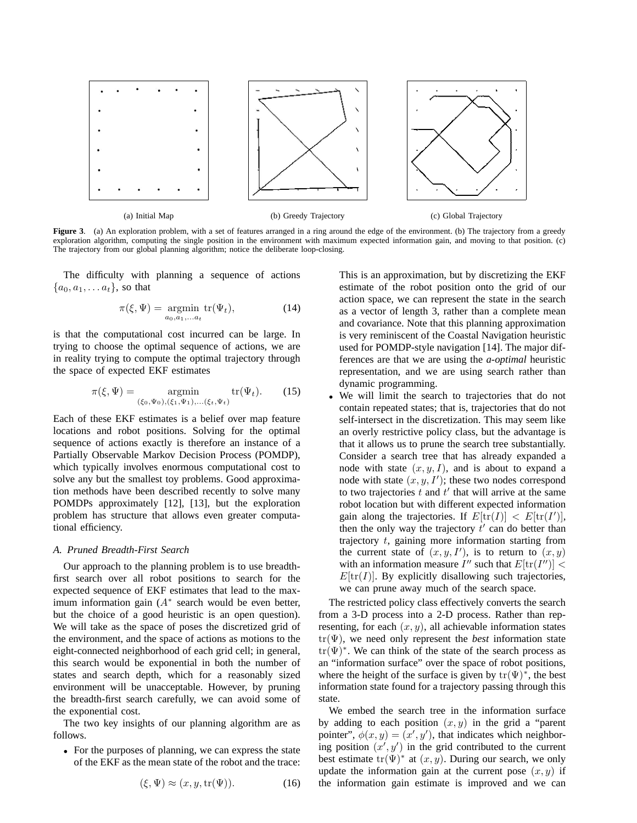

Figure 3. (a) An exploration problem, with a set of features arranged in a ring around the edge of the environment. (b) The trajectory from a greedy exploration algorithm, computing the single position in the environment with maximum expected information gain, and moving to that position. (c) The trajectory from our global planning algorithm; notice the deliberate loop-closing.

The difficulty with planning a sequence of actions  ${a_0, a_1, \ldots a_t}$ , so that

$$
\pi(\xi, \Psi) = \underset{a_0, a_1, \dots, a_t}{\text{argmin}} \text{tr}(\Psi_t), \tag{14}
$$

is that the computational cost incurred can be large. In trying to choose the optimal sequence of actions, we are in reality trying to compute the optimal trajectory through the space of expected EKF estimates

$$
\pi(\xi, \Psi) = \operatorname*{argmin}_{(\xi_0, \Psi_0), (\xi_1, \Psi_1), \dots, (\xi_t, \Psi_t)} \text{tr}(\Psi_t). \tag{15}
$$

Each of these EKF estimates is a belief over map feature locations and robot positions. Solving for the optimal sequence of actions exactly is therefore an instance of a Partially Observable Markov Decision Process (POMDP), which typically involves enormous computational cost to solve any but the smallest toy problems. Good approximation methods have been described recently to solve many POMDPs approximately [12], [13], but the exploration problem has structure that allows even greater computational efficiency.

# *A. Pruned Breadth-First Search*

Our approach to the planning problem is to use breadthfirst search over all robot positions to search for the expected sequence of EKF estimates that lead to the maximum information gain  $(A^*$  search would be even better, but the choice of a good heuristic is an open question). We will take as the space of poses the discretized grid of the environment, and the space of actions as motions to the eight-connected neighborhood of each grid cell; in general, this search would be exponential in both the number of states and search depth, which for a reasonably sized environment will be unacceptable. However, by pruning the breadth-first search carefully, we can avoid some of the exponential cost.

The two key insights of our planning algorithm are as follows.

• For the purposes of planning, we can express the state of the EKF as the mean state of the robot and the trace:

$$
(\xi, \Psi) \approx (x, y, \text{tr}(\Psi)). \tag{16}
$$

This is an approximation, but by discretizing the EKF estimate of the robot position onto the grid of our action space, we can represent the state in the search as a vector of length 3, rather than a complete mean and covariance. Note that this planning approximation is very reminiscent of the Coastal Navigation heuristic used for POMDP-style navigation [14]. The major differences are that we are using the *a-optimal* heuristic representation, and we are using search rather than dynamic programming.

• We will limit the search to trajectories that do not contain repeated states; that is, trajectories that do not self-intersect in the discretization. This may seem like an overly restrictive policy class, but the advantage is that it allows us to prune the search tree substantially. Consider a search tree that has already expanded a node with state  $(x, y, I)$ , and is about to expand a node with state  $(x, y, I')$ ; these two nodes correspond to two trajectories  $t$  and  $t'$  that will arrive at the same robot location but with different expected information gain along the trajectories. If  $E[\text{tr}(I)] < E[\text{tr}(I')]$ , then the only way the trajectory  $t'$  can do better than trajectory  $t$ , gaining more information starting from the current state of  $(x, y, I')$ , is to return to  $(x, y)$ with an information measure  $I''$  such that  $E[\text{tr}(I'')] <$  $E[tr(I)]$ . By explicitly disallowing such trajectories, we can prune away much of the search space.

The restricted policy class effectively converts the search from a 3-D process into a 2-D process. Rather than representing, for each  $(x, y)$ , all achievable information states  $tr(\Psi)$ , we need only represent the *best* information state  $\text{tr}(\Psi)^*$ . We can think of the state of the search process as an "information surface" over the space of robot positions, where the height of the surface is given by  $tr(\Psi)^*$ , the best information state found for a trajectory passing through this state.

We embed the search tree in the information surface by adding to each position  $(x, y)$  in the grid a "parent" pointer",  $\phi(x, y) = (x', y')$ , that indicates which neighboring position  $(x', y')$  in the grid contributed to the current best estimate  $tr(\Psi)^*$  at  $(x, y)$ . During our search, we only update the information gain at the current pose  $(x, y)$  if the information gain estimate is improved and we can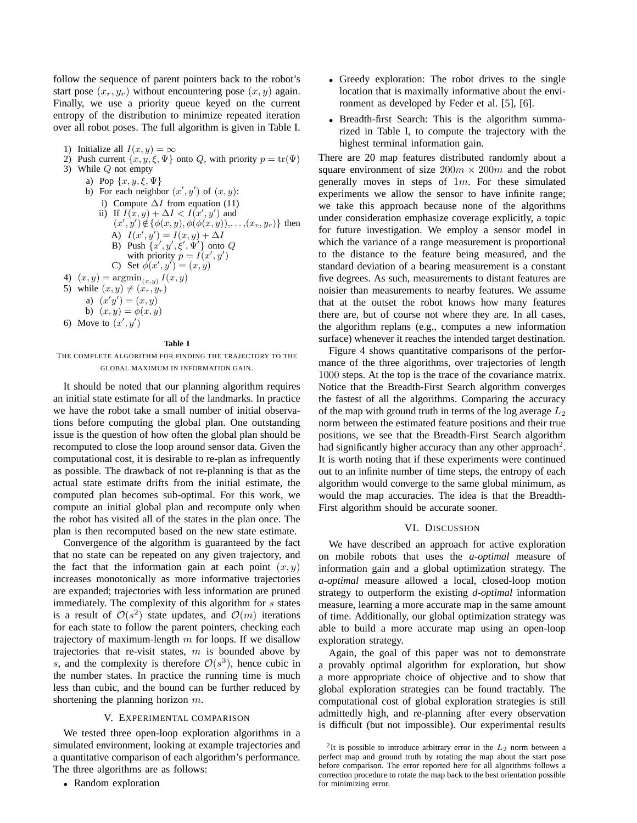follow the sequence of parent pointers back to the robot's start pose  $(x_r, y_r)$  without encountering pose  $(x, y)$  again. Finally, we use a priority queue keyed on the current entropy of the distribution to minimize repeated iteration over all robot poses. The full algorithm is given in Table I.

1) Initialize all  $I(x, y) = \infty$ 

- 2) Push current  $\{x, y, \xi, \Psi\}$  onto Q, with priority  $p = \text{tr}(\Psi)$
- 3) While Q not empty
	- a) Pop  $\{x, y, \xi, \Psi\}$
- b) For each neighbor  $(x', y')$  of  $(x, y)$ : i) Compute  $\Delta I$  from equation (11) ii) If  $I(x, y) + \Delta I < I(x', y')$  and  $(x', y') \notin {\phi(x, y), \phi(\phi(x, y)), \ldots, (x_r, y_r)}$  then A)  $I(x', y') = I(x, y) + \Delta I$ B) Push  $\{x', y', \xi', \Psi'\}$  onto Q with priority  $p = I(x', y')$ C) Set  $\phi(x', y') = (x, y)$ 4)  $(x, y) = \operatorname{argmin}_{(x, y)} I(x, y)$ 5) while  $(x, y) \neq (x_r, y_r)$ a)  $(x'y') = (x, y)$ b)  $(x, y) = \phi(x, y)$ 6) Move to  $(x', y')$

## **Table I**

THE COMPLETE ALGORITHM FOR FINDING THE TRAJECTORY TO THE GLOBAL MAXIMUM IN INFORMATION GAIN.

It should be noted that our planning algorithm requires an initial state estimate for all of the landmarks. In practice we have the robot take a small number of initial observations before computing the global plan. One outstanding issue is the question of how often the global plan should be recomputed to close the loop around sensor data. Given the computational cost, it is desirable to re-plan as infrequently as possible. The drawback of not re-planning is that as the actual state estimate drifts from the initial estimate, the computed plan becomes sub-optimal. For this work, we compute an initial global plan and recompute only when the robot has visited all of the states in the plan once. The plan is then recomputed based on the new state estimate.

Convergence of the algorithm is guaranteed by the fact that no state can be repeated on any given trajectory, and the fact that the information gain at each point  $(x, y)$ increases monotonically as more informative trajectories are expanded; trajectories with less information are pruned immediately. The complexity of this algorithm for s states is a result of  $\mathcal{O}(s^2)$  state updates, and  $\mathcal{O}(m)$  iterations for each state to follow the parent pointers, checking each trajectory of maximum-length  $m$  for loops. If we disallow trajectories that re-visit states,  $m$  is bounded above by s, and the complexity is therefore  $\mathcal{O}(s^3)$ , hence cubic in the number states. In practice the running time is much less than cubic, and the bound can be further reduced by shortening the planning horizon m.

## V. EXPERIMENTAL COMPARISON

We tested three open-loop exploration algorithms in a simulated environment, looking at example trajectories and a quantitative comparison of each algorithm's performance. The three algorithms are as follows:

• Random exploration

- Greedy exploration: The robot drives to the single location that is maximally informative about the environment as developed by Feder et al. [5], [6].
- Breadth-first Search: This is the algorithm summarized in Table I, to compute the trajectory with the highest terminal information gain.

There are 20 map features distributed randomly about a square environment of size  $200m \times 200m$  and the robot generally moves in steps of  $1m$ . For these simulated experiments we allow the sensor to have infinite range; we take this approach because none of the algorithms under consideration emphasize coverage explicitly, a topic for future investigation. We employ a sensor model in which the variance of a range measurement is proportional to the distance to the feature being measured, and the standard deviation of a bearing measurement is a constant five degrees. As such, measurements to distant features are noisier than measurements to nearby features. We assume that at the outset the robot knows how many features there are, but of course not where they are. In all cases, the algorithm replans (e.g., computes a new information surface) whenever it reaches the intended target destination.

Figure 4 shows quantitative comparisons of the performance of the three algorithms, over trajectories of length 1000 steps. At the top is the trace of the covariance matrix. Notice that the Breadth-First Search algorithm converges the fastest of all the algorithms. Comparing the accuracy of the map with ground truth in terms of the log average  $L_2$ norm between the estimated feature positions and their true positions, we see that the Breadth-First Search algorithm had significantly higher accuracy than any other approach<sup>2</sup>. It is worth noting that if these experiments were continued out to an infinite number of time steps, the entropy of each algorithm would converge to the same global minimum, as would the map accuracies. The idea is that the Breadth-First algorithm should be accurate sooner.

### VI. DISCUSSION

We have described an approach for active exploration on mobile robots that uses the *a-optimal* measure of information gain and a global optimization strategy. The *a-optimal* measure allowed a local, closed-loop motion strategy to outperform the existing *d-optimal* information measure, learning a more accurate map in the same amount of time. Additionally, our global optimization strategy was able to build a more accurate map using an open-loop exploration strategy.

Again, the goal of this paper was not to demonstrate a provably optimal algorithm for exploration, but show a more appropriate choice of objective and to show that global exploration strategies can be found tractably. The computational cost of global exploration strategies is still admittedly high, and re-planning after every observation is difficult (but not impossible). Our experimental results

<sup>&</sup>lt;sup>2</sup>It is possible to introduce arbitrary error in the  $L_2$  norm between a perfect map and ground truth by rotating the map about the start pose before comparison. The error reported here for all algorithms follows a correction procedure to rotate the map back to the best orientation possible for minimizing error.